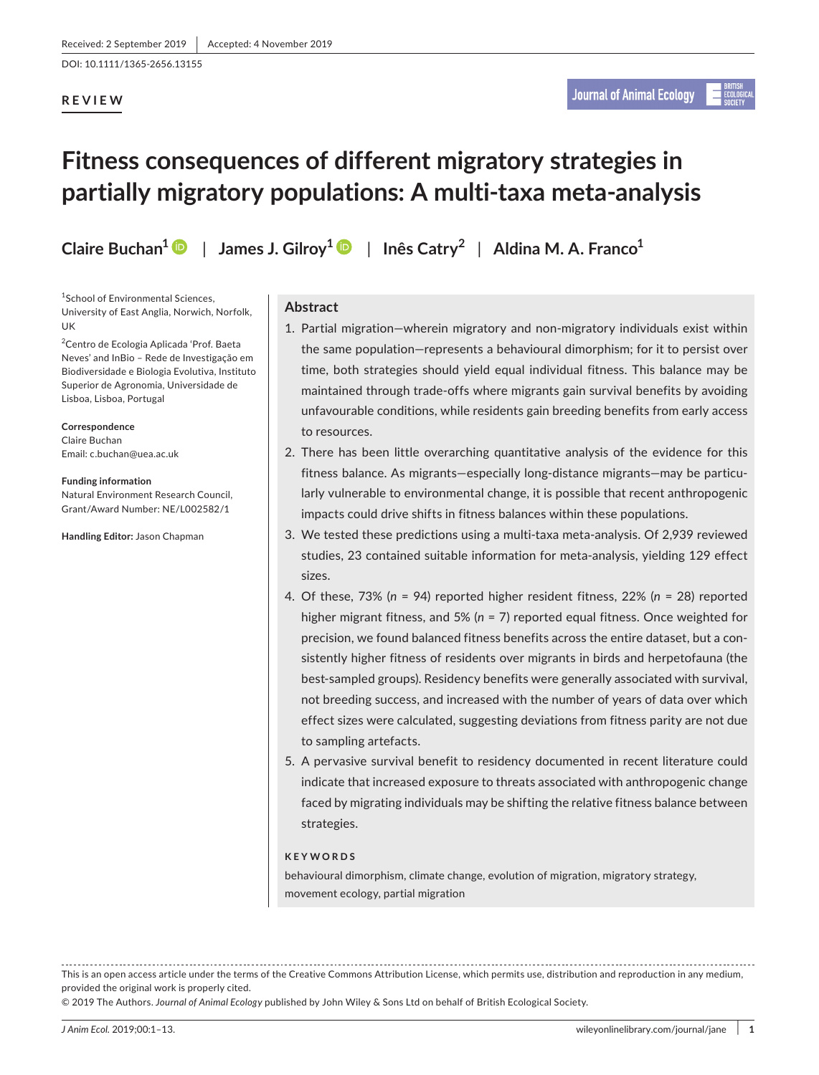DOI: 10.1111/1365-2656.13155

# **REVIEW**

# **Fitness consequences of different migratory strategies in partially migratory populations: A multi-taxa meta-analysis**

**Claire Buchan1** | **James J. Gilroy1** | **Inês Catry<sup>2</sup>** | **Aldina M. A. Franco1**

1 School of Environmental Sciences, University of East Anglia, Norwich, Norfolk, UK

<sup>2</sup>Centro de Ecologia Aplicada 'Prof. Baeta Neves' and InBio – Rede de Investigação em Biodiversidade e Biologia Evolutiva, Instituto Superior de Agronomia, Universidade de Lisboa, Lisboa, Portugal

**Correspondence** Claire Buchan Email: [c.buchan@uea.ac.uk](mailto:c.buchan@uea.ac.uk)

**Funding information** Natural Environment Research Council, Grant/Award Number: NE/L002582/1

**Handling Editor:** Jason Chapman

# **Abstract**

- 1. Partial migration—wherein migratory and non-migratory individuals exist within the same population—represents a behavioural dimorphism; for it to persist over time, both strategies should yield equal individual fitness. This balance may be maintained through trade-offs where migrants gain survival benefits by avoiding unfavourable conditions, while residents gain breeding benefits from early access to resources.
- 2. There has been little overarching quantitative analysis of the evidence for this fitness balance. As migrants—especially long-distance migrants—may be particularly vulnerable to environmental change, it is possible that recent anthropogenic impacts could drive shifts in fitness balances within these populations.
- 3. We tested these predictions using a multi-taxa meta-analysis. Of 2,939 reviewed studies, 23 contained suitable information for meta-analysis, yielding 129 effect sizes.
- 4. Of these, 73% (*n* = 94) reported higher resident fitness, 22% (*n* = 28) reported higher migrant fitness, and 5% (*n* = 7) reported equal fitness. Once weighted for precision, we found balanced fitness benefits across the entire dataset, but a consistently higher fitness of residents over migrants in birds and herpetofauna (the best-sampled groups). Residency benefits were generally associated with survival, not breeding success, and increased with the number of years of data over which effect sizes were calculated, suggesting deviations from fitness parity are not due to sampling artefacts.
- 5. A pervasive survival benefit to residency documented in recent literature could indicate that increased exposure to threats associated with anthropogenic change faced by migrating individuals may be shifting the relative fitness balance between strategies.

# **KEYWORDS**

behavioural dimorphism, climate change, evolution of migration, migratory strategy, movement ecology, partial migration

This is an open access article under the terms of the [Creative Commons Attribution](http://creativecommons.org/licenses/by/4.0/) License, which permits use, distribution and reproduction in any medium, provided the original work is properly cited.

© 2019 The Authors. *Journal of Animal Ecology* published by John Wiley & Sons Ltd on behalf of British Ecological Society.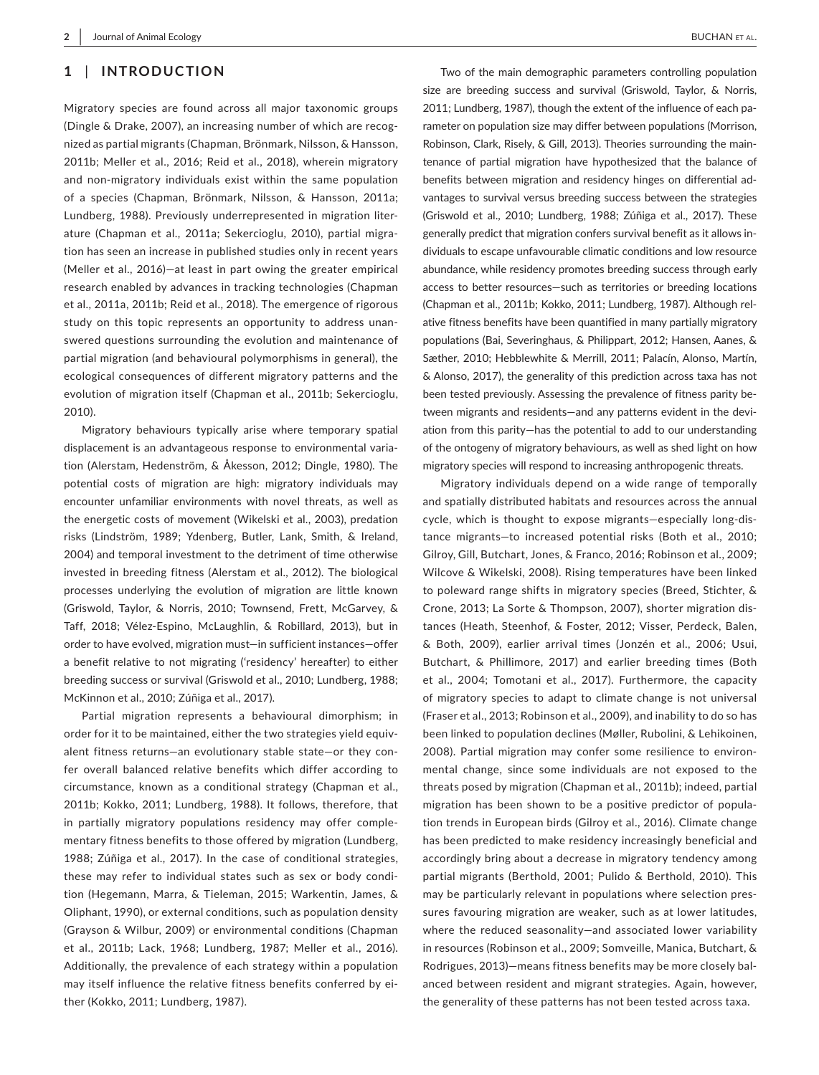# **1** | **INTRODUCTION**

Migratory species are found across all major taxonomic groups (Dingle & Drake, 2007), an increasing number of which are recognized as partial migrants (Chapman, Brönmark, Nilsson, & Hansson, 2011b; Meller et al., 2016; Reid et al., 2018), wherein migratory and non-migratory individuals exist within the same population of a species (Chapman, Brönmark, Nilsson, & Hansson, 2011a; Lundberg, 1988). Previously underrepresented in migration literature (Chapman et al., 2011a; Sekercioglu, 2010), partial migration has seen an increase in published studies only in recent years (Meller et al., 2016)—at least in part owing the greater empirical research enabled by advances in tracking technologies (Chapman et al., 2011a, 2011b; Reid et al., 2018). The emergence of rigorous study on this topic represents an opportunity to address unanswered questions surrounding the evolution and maintenance of partial migration (and behavioural polymorphisms in general), the ecological consequences of different migratory patterns and the evolution of migration itself (Chapman et al., 2011b; Sekercioglu, 2010).

Migratory behaviours typically arise where temporary spatial displacement is an advantageous response to environmental variation (Alerstam, Hedenström, & Åkesson, 2012; Dingle, 1980). The potential costs of migration are high: migratory individuals may encounter unfamiliar environments with novel threats, as well as the energetic costs of movement (Wikelski et al., 2003), predation risks (Lindström, 1989; Ydenberg, Butler, Lank, Smith, & Ireland, 2004) and temporal investment to the detriment of time otherwise invested in breeding fitness (Alerstam et al., 2012). The biological processes underlying the evolution of migration are little known (Griswold, Taylor, & Norris, 2010; Townsend, Frett, McGarvey, & Taff, 2018; Vélez-Espino, McLaughlin, & Robillard, 2013), but in order to have evolved, migration must—in sufficient instances—offer a benefit relative to not migrating ('residency' hereafter) to either breeding success or survival (Griswold et al., 2010; Lundberg, 1988; McKinnon et al., 2010; Zúñiga et al., 2017).

Partial migration represents a behavioural dimorphism; in order for it to be maintained, either the two strategies yield equivalent fitness returns—an evolutionary stable state—or they confer overall balanced relative benefits which differ according to circumstance, known as a conditional strategy (Chapman et al., 2011b; Kokko, 2011; Lundberg, 1988). It follows, therefore, that in partially migratory populations residency may offer complementary fitness benefits to those offered by migration (Lundberg, 1988; Zúñiga et al., 2017). In the case of conditional strategies, these may refer to individual states such as sex or body condition (Hegemann, Marra, & Tieleman, 2015; Warkentin, James, & Oliphant, 1990), or external conditions, such as population density (Grayson & Wilbur, 2009) or environmental conditions (Chapman et al., 2011b; Lack, 1968; Lundberg, 1987; Meller et al., 2016). Additionally, the prevalence of each strategy within a population may itself influence the relative fitness benefits conferred by either (Kokko, 2011; Lundberg, 1987).

Two of the main demographic parameters controlling population size are breeding success and survival (Griswold, Taylor, & Norris, 2011; Lundberg, 1987)*,* though the extent of the influence of each parameter on population size may differ between populations (Morrison, Robinson, Clark, Risely, & Gill, 2013). Theories surrounding the maintenance of partial migration have hypothesized that the balance of benefits between migration and residency hinges on differential advantages to survival versus breeding success between the strategies (Griswold et al., 2010; Lundberg, 1988; Zúñiga et al., 2017). These generally predict that migration confers survival benefit as it allows individuals to escape unfavourable climatic conditions and low resource abundance, while residency promotes breeding success through early access to better resources—such as territories or breeding locations (Chapman et al., 2011b; Kokko, 2011; Lundberg, 1987). Although relative fitness benefits have been quantified in many partially migratory populations (Bai, Severinghaus, & Philippart, 2012; Hansen, Aanes, & Sæther, 2010; Hebblewhite & Merrill, 2011; Palacín, Alonso, Martín, & Alonso, 2017), the generality of this prediction across taxa has not been tested previously. Assessing the prevalence of fitness parity between migrants and residents—and any patterns evident in the deviation from this parity—has the potential to add to our understanding of the ontogeny of migratory behaviours, as well as shed light on how migratory species will respond to increasing anthropogenic threats.

Migratory individuals depend on a wide range of temporally and spatially distributed habitats and resources across the annual cycle, which is thought to expose migrants—especially long-distance migrants—to increased potential risks (Both et al., 2010; Gilroy, Gill, Butchart, Jones, & Franco, 2016; Robinson et al., 2009; Wilcove & Wikelski, 2008). Rising temperatures have been linked to poleward range shifts in migratory species (Breed, Stichter, & Crone, 2013; La Sorte & Thompson, 2007), shorter migration distances (Heath, Steenhof, & Foster, 2012; Visser, Perdeck, Balen, & Both, 2009), earlier arrival times (Jonzén et al., 2006; Usui, Butchart, & Phillimore, 2017) and earlier breeding times (Both et al., 2004; Tomotani et al., 2017). Furthermore, the capacity of migratory species to adapt to climate change is not universal (Fraser et al., 2013; Robinson et al., 2009), and inability to do so has been linked to population declines (Møller, Rubolini, & Lehikoinen, 2008). Partial migration may confer some resilience to environmental change, since some individuals are not exposed to the threats posed by migration (Chapman et al., 2011b); indeed, partial migration has been shown to be a positive predictor of population trends in European birds (Gilroy et al., 2016). Climate change has been predicted to make residency increasingly beneficial and accordingly bring about a decrease in migratory tendency among partial migrants (Berthold, 2001; Pulido & Berthold, 2010). This may be particularly relevant in populations where selection pressures favouring migration are weaker, such as at lower latitudes, where the reduced seasonality—and associated lower variability in resources (Robinson et al., 2009; Somveille, Manica, Butchart, & Rodrigues, 2013)—means fitness benefits may be more closely balanced between resident and migrant strategies. Again, however, the generality of these patterns has not been tested across taxa.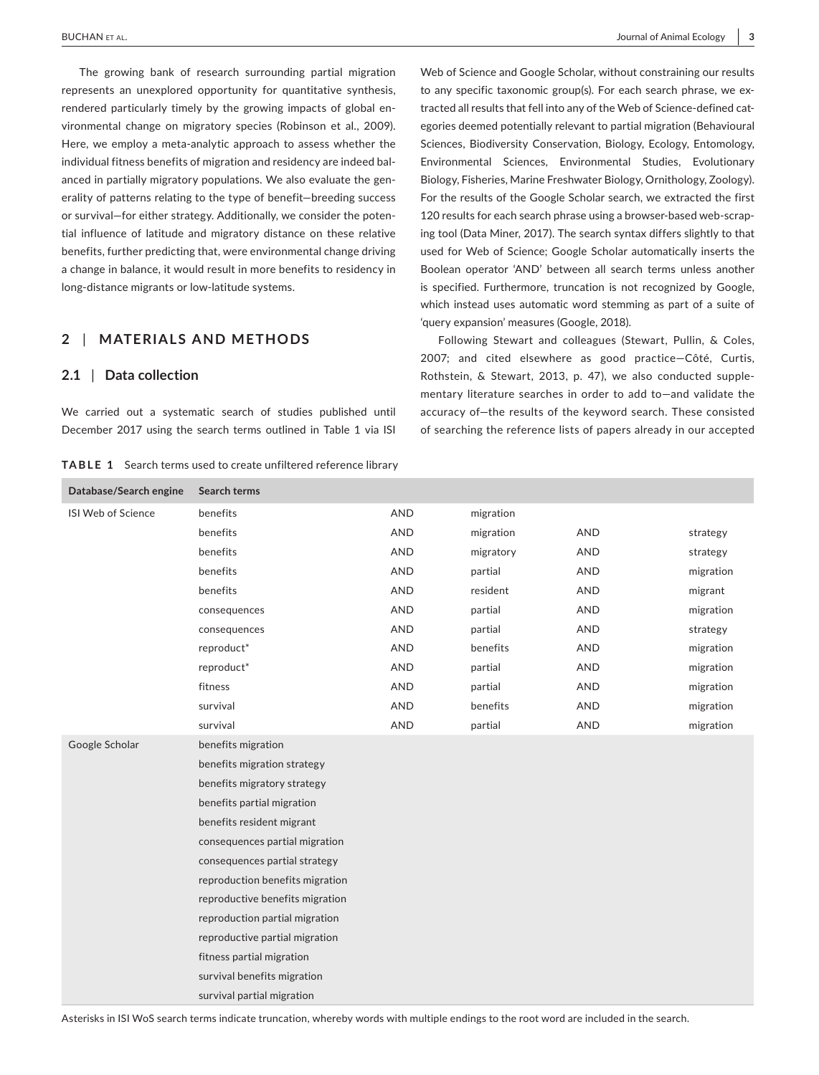The growing bank of research surrounding partial migration represents an unexplored opportunity for quantitative synthesis, rendered particularly timely by the growing impacts of global environmental change on migratory species (Robinson et al., 2009). Here, we employ a meta-analytic approach to assess whether the individual fitness benefits of migration and residency are indeed balanced in partially migratory populations. We also evaluate the generality of patterns relating to the type of benefit—breeding success or survival—for either strategy. Additionally, we consider the potential influence of latitude and migratory distance on these relative benefits, further predicting that, were environmental change driving a change in balance, it would result in more benefits to residency in long-distance migrants or low-latitude systems.

# **2** | **MATERIALS AND METHODS**

## **2.1** | **Data collection**

We carried out a systematic search of studies published until December 2017 using the search terms outlined in Table 1 via ISI

**TABLE 1** Search terms used to create unfiltered reference library

Web of Science and Google Scholar, without constraining our results to any specific taxonomic group(s). For each search phrase, we extracted all results that fell into any of the Web of Science-defined categories deemed potentially relevant to partial migration (Behavioural Sciences, Biodiversity Conservation, Biology, Ecology, Entomology, Environmental Sciences, Environmental Studies, Evolutionary Biology, Fisheries, Marine Freshwater Biology, Ornithology, Zoology). For the results of the Google Scholar search, we extracted the first 120 results for each search phrase using a browser-based web-scraping tool (Data Miner, 2017). The search syntax differs slightly to that used for Web of Science; Google Scholar automatically inserts the Boolean operator 'AND' between all search terms unless another is specified. Furthermore, truncation is not recognized by Google, which instead uses automatic word stemming as part of a suite of 'query expansion' measures (Google, 2018).

Following Stewart and colleagues (Stewart, Pullin, & Coles, 2007; and cited elsewhere as good practice—Côté, Curtis, Rothstein, & Stewart, 2013, p. 47), we also conducted supplementary literature searches in order to add to—and validate the accuracy of—the results of the keyword search. These consisted of searching the reference lists of papers already in our accepted

| Database/Search engine | Search terms                    |            |           |            |           |
|------------------------|---------------------------------|------------|-----------|------------|-----------|
| ISI Web of Science     | benefits                        | <b>AND</b> | migration |            |           |
|                        | benefits                        | <b>AND</b> | migration | <b>AND</b> | strategy  |
|                        | benefits                        | <b>AND</b> | migratory | AND        | strategy  |
|                        | benefits                        | <b>AND</b> | partial   | AND        | migration |
|                        | benefits                        | <b>AND</b> | resident  | <b>AND</b> | migrant   |
|                        | consequences                    | <b>AND</b> | partial   | AND        | migration |
|                        | consequences                    | <b>AND</b> | partial   | <b>AND</b> | strategy  |
|                        | reproduct*                      | <b>AND</b> | benefits  | <b>AND</b> | migration |
|                        | reproduct*                      | <b>AND</b> | partial   | <b>AND</b> | migration |
|                        | fitness                         | <b>AND</b> | partial   | <b>AND</b> | migration |
|                        | survival                        | <b>AND</b> | benefits  | AND        | migration |
|                        | survival                        | <b>AND</b> | partial   | AND        | migration |
| Google Scholar         | benefits migration              |            |           |            |           |
|                        | benefits migration strategy     |            |           |            |           |
|                        | benefits migratory strategy     |            |           |            |           |
|                        | benefits partial migration      |            |           |            |           |
|                        | benefits resident migrant       |            |           |            |           |
|                        | consequences partial migration  |            |           |            |           |
|                        | consequences partial strategy   |            |           |            |           |
|                        | reproduction benefits migration |            |           |            |           |
|                        | reproductive benefits migration |            |           |            |           |
|                        | reproduction partial migration  |            |           |            |           |
|                        | reproductive partial migration  |            |           |            |           |
|                        | fitness partial migration       |            |           |            |           |
|                        | survival benefits migration     |            |           |            |           |
|                        | survival partial migration      |            |           |            |           |

Asterisks in ISI WoS search terms indicate truncation, whereby words with multiple endings to the root word are included in the search.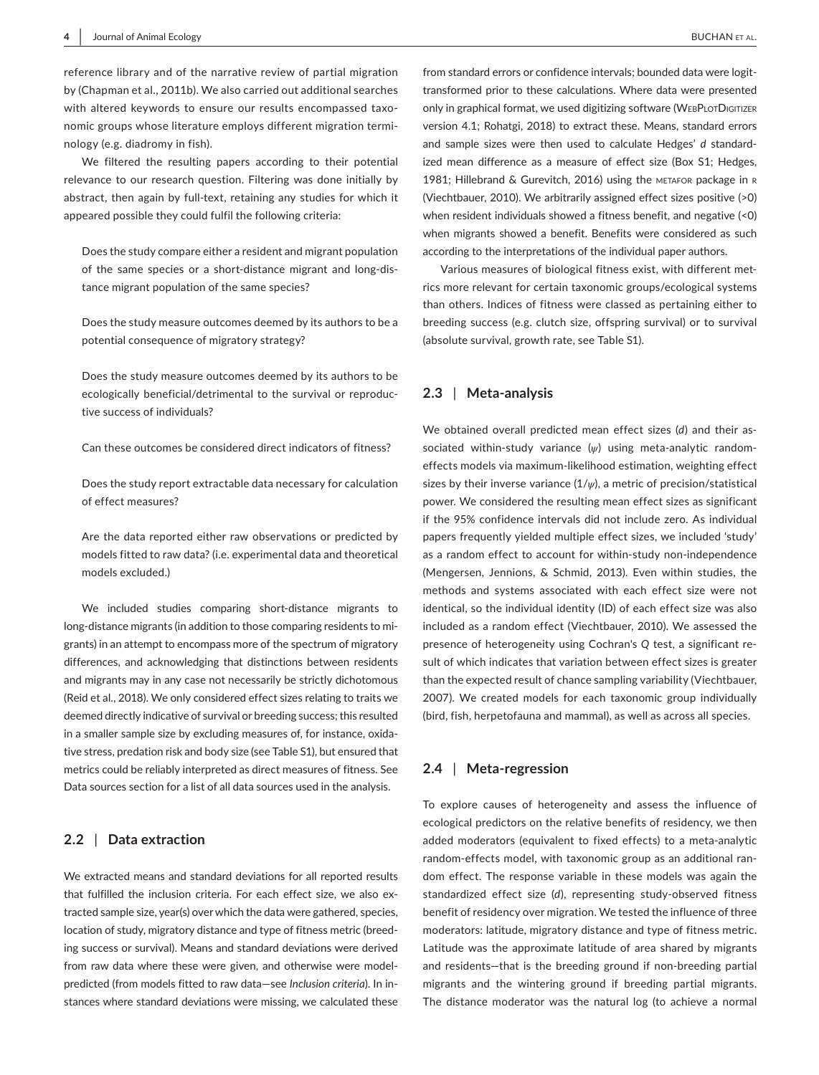reference library and of the narrative review of partial migration by (Chapman et al., 2011b). We also carried out additional searches with altered keywords to ensure our results encompassed taxonomic groups whose literature employs different migration terminology (e.g. diadromy in fish).

We filtered the resulting papers according to their potential relevance to our research question. Filtering was done initially by abstract, then again by full-text, retaining any studies for which it appeared possible they could fulfil the following criteria:

Does the study compare either a resident and migrant population of the same species or a short-distance migrant and long-distance migrant population of the same species?

Does the study measure outcomes deemed by its authors to be a potential consequence of migratory strategy?

Does the study measure outcomes deemed by its authors to be ecologically beneficial/detrimental to the survival or reproductive success of individuals?

Can these outcomes be considered direct indicators of fitness?

Does the study report extractable data necessary for calculation of effect measures?

Are the data reported either raw observations or predicted by models fitted to raw data? (i.e. experimental data and theoretical models excluded.)

We included studies comparing short-distance migrants to long-distance migrants (in addition to those comparing residents to migrants) in an attempt to encompass more of the spectrum of migratory differences, and acknowledging that distinctions between residents and migrants may in any case not necessarily be strictly dichotomous (Reid et al., 2018). We only considered effect sizes relating to traits we deemed directly indicative of survival or breeding success; this resulted in a smaller sample size by excluding measures of, for instance, oxidative stress, predation risk and body size (see Table S1), but ensured that metrics could be reliably interpreted as direct measures of fitness. See Data sources section for a list of all data sources used in the analysis.

# **2.2** | **Data extraction**

We extracted means and standard deviations for all reported results that fulfilled the inclusion criteria. For each effect size, we also extracted sample size, year(s) over which the data were gathered, species, location of study, migratory distance and type of fitness metric (breeding success or survival). Means and standard deviations were derived from raw data where these were given, and otherwise were modelpredicted (from models fitted to raw data—see *Inclusion criteria*). In instances where standard deviations were missing, we calculated these

from standard errors or confidence intervals; bounded data were logittransformed prior to these calculations. Where data were presented only in graphical format, we used digitizing software (WEBPLOTDIGITIZER version 4.1; Rohatgi, 2018) to extract these. Means, standard errors and sample sizes were then used to calculate Hedges' *d* standardized mean difference as a measure of effect size (Box S1; Hedges, 1981; Hillebrand & Gurevitch, 2016) using the METAFOR package in R (Viechtbauer, 2010). We arbitrarily assigned effect sizes positive (>0) when resident individuals showed a fitness benefit, and negative (<0) when migrants showed a benefit. Benefits were considered as such according to the interpretations of the individual paper authors.

Various measures of biological fitness exist, with different metrics more relevant for certain taxonomic groups/ecological systems than others. Indices of fitness were classed as pertaining either to breeding success (e.g. clutch size, offspring survival) or to survival (absolute survival, growth rate, see Table S1).

# **2.3** | **Meta-analysis**

We obtained overall predicted mean effect sizes (*d*) and their associated within-study variance (*ψ*) using meta-analytic randomeffects models via maximum-likelihood estimation, weighting effect sizes by their inverse variance  $(1/\psi)$ , a metric of precision/statistical power. We considered the resulting mean effect sizes as significant if the 95% confidence intervals did not include zero. As individual papers frequently yielded multiple effect sizes, we included 'study' as a random effect to account for within-study non-independence (Mengersen, Jennions, & Schmid, 2013). Even within studies, the methods and systems associated with each effect size were not identical, so the individual identity (ID) of each effect size was also included as a random effect (Viechtbauer, 2010). We assessed the presence of heterogeneity using Cochran's *Q* test, a significant result of which indicates that variation between effect sizes is greater than the expected result of chance sampling variability (Viechtbauer, 2007). We created models for each taxonomic group individually (bird, fish, herpetofauna and mammal), as well as across all species.

# **2.4** | **Meta-regression**

To explore causes of heterogeneity and assess the influence of ecological predictors on the relative benefits of residency, we then added moderators (equivalent to fixed effects) to a meta-analytic random-effects model, with taxonomic group as an additional random effect. The response variable in these models was again the standardized effect size (*d*), representing study-observed fitness benefit of residency over migration. We tested the influence of three moderators: latitude, migratory distance and type of fitness metric. Latitude was the approximate latitude of area shared by migrants and residents—that is the breeding ground if non-breeding partial migrants and the wintering ground if breeding partial migrants. The distance moderator was the natural log (to achieve a normal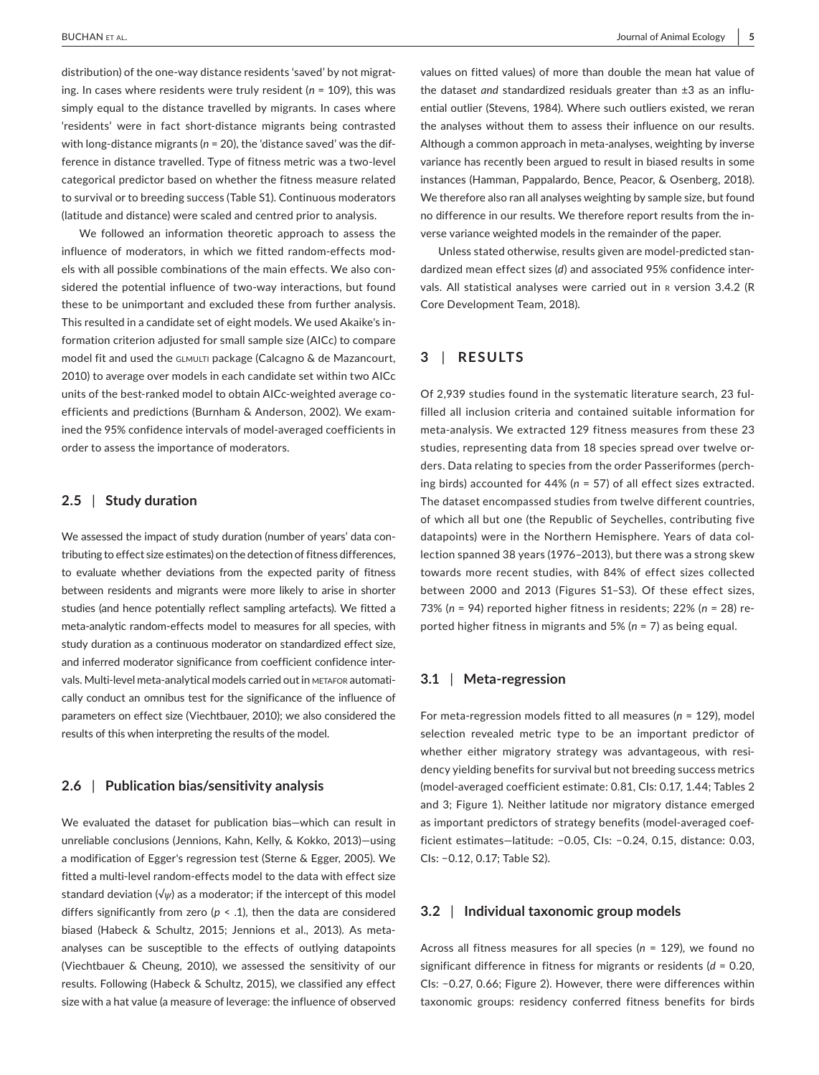distribution) of the one-way distance residents 'saved' by not migrating. In cases where residents were truly resident (*n* = 109), this was simply equal to the distance travelled by migrants. In cases where 'residents' were in fact short-distance migrants being contrasted with long-distance migrants (*n* = 20), the 'distance saved' was the difference in distance travelled. Type of fitness metric was a two-level categorical predictor based on whether the fitness measure related to survival or to breeding success (Table S1). Continuous moderators (latitude and distance) were scaled and centred prior to analysis.

We followed an information theoretic approach to assess the influence of moderators, in which we fitted random-effects models with all possible combinations of the main effects. We also considered the potential influence of two-way interactions, but found these to be unimportant and excluded these from further analysis. This resulted in a candidate set of eight models. We used Akaike's information criterion adjusted for small sample size (AICc) to compare model fit and used the GLMULTI package (Calcagno & de Mazancourt, 2010) to average over models in each candidate set within two AICc units of the best-ranked model to obtain AICc-weighted average coefficients and predictions (Burnham & Anderson, 2002). We examined the 95% confidence intervals of model-averaged coefficients in order to assess the importance of moderators.

## **2.5** | **Study duration**

We assessed the impact of study duration (number of years' data contributing to effect size estimates) on the detection of fitness differences, to evaluate whether deviations from the expected parity of fitness between residents and migrants were more likely to arise in shorter studies (and hence potentially reflect sampling artefacts). We fitted a meta-analytic random-effects model to measures for all species, with study duration as a continuous moderator on standardized effect size, and inferred moderator significance from coefficient confidence intervals. Multi-level meta-analytical models carried out in METAFOR automatically conduct an omnibus test for the significance of the influence of parameters on effect size (Viechtbauer, 2010); we also considered the results of this when interpreting the results of the model.

# **2.6** | **Publication bias/sensitivity analysis**

We evaluated the dataset for publication bias—which can result in unreliable conclusions (Jennions, Kahn, Kelly, & Kokko, 2013)—using a modification of Egger's regression test (Sterne & Egger, 2005). We fitted a multi-level random-effects model to the data with effect size standard deviation  $(\sqrt{\psi})$  as a moderator; if the intercept of this model differs significantly from zero ( $p < .1$ ), then the data are considered biased (Habeck & Schultz, 2015; Jennions et al., 2013). As metaanalyses can be susceptible to the effects of outlying datapoints (Viechtbauer & Cheung, 2010), we assessed the sensitivity of our results. Following (Habeck & Schultz, 2015), we classified any effect size with a hat value (a measure of leverage: the influence of observed

values on fitted values) of more than double the mean hat value of the dataset *and* standardized residuals greater than ±3 as an influential outlier (Stevens, 1984). Where such outliers existed, we reran the analyses without them to assess their influence on our results. Although a common approach in meta-analyses, weighting by inverse variance has recently been argued to result in biased results in some instances (Hamman, Pappalardo, Bence, Peacor, & Osenberg, 2018). We therefore also ran all analyses weighting by sample size, but found no difference in our results. We therefore report results from the inverse variance weighted models in the remainder of the paper.

Unless stated otherwise, results given are model-predicted standardized mean effect sizes (*d*) and associated 95% confidence intervals. All statistical analyses were carried out in R version 3.4.2 (R Core Development Team, 2018).

# **3** | **RESULTS**

Of 2,939 studies found in the systematic literature search, 23 fulfilled all inclusion criteria and contained suitable information for meta-analysis. We extracted 129 fitness measures from these 23 studies, representing data from 18 species spread over twelve orders. Data relating to species from the order Passeriformes (perching birds) accounted for 44% (*n* = 57) of all effect sizes extracted. The dataset encompassed studies from twelve different countries, of which all but one (the Republic of Seychelles, contributing five datapoints) were in the Northern Hemisphere. Years of data collection spanned 38 years (1976–2013), but there was a strong skew towards more recent studies, with 84% of effect sizes collected between 2000 and 2013 (Figures S1–S3). Of these effect sizes, 73% (*n* = 94) reported higher fitness in residents; 22% (*n* = 28) reported higher fitness in migrants and 5% (*n* = 7) as being equal.

## **3.1** | **Meta-regression**

For meta-regression models fitted to all measures (*n* = 129), model selection revealed metric type to be an important predictor of whether either migratory strategy was advantageous, with residency yielding benefits for survival but not breeding success metrics (model-averaged coefficient estimate: 0.81, CIs: 0.17, 1.44; Tables 2 and 3; Figure 1). Neither latitude nor migratory distance emerged as important predictors of strategy benefits (model-averaged coefficient estimates—latitude: −0.05, CIs: −0.24, 0.15, distance: 0.03, CIs: −0.12, 0.17; Table S2).

## **3.2** | **Individual taxonomic group models**

Across all fitness measures for all species (*n* = 129), we found no significant difference in fitness for migrants or residents (*d* = 0.20, CIs: −0.27, 0.66; Figure 2). However, there were differences within taxonomic groups: residency conferred fitness benefits for birds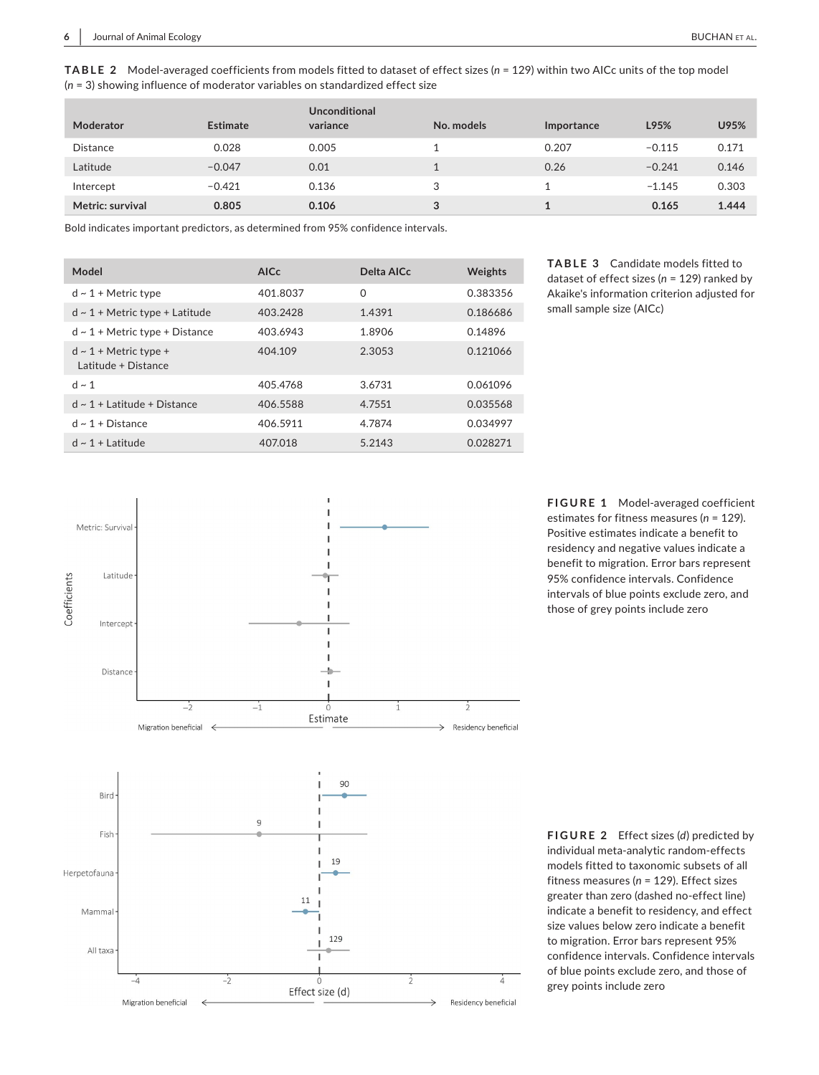| TABLE 2 Model-averaged coefficients from models fitted to dataset of effect sizes (n = 129) within two AICc units of the top model |
|------------------------------------------------------------------------------------------------------------------------------------|
| $(n = 3)$ showing influence of moderator variables on standardized effect size                                                     |

| Moderator        | Estimate | Unconditional<br>variance | No. models | Importance | L95%     | U95%  |
|------------------|----------|---------------------------|------------|------------|----------|-------|
| <b>Distance</b>  | 0.028    | 0.005                     |            | 0.207      | $-0.115$ | 0.171 |
| Latitude         | $-0.047$ | 0.01                      |            | 0.26       | $-0.241$ | 0.146 |
| Intercept        | $-0.421$ | 0.136                     | 3          |            | $-1.145$ | 0.303 |
| Metric: survival | 0.805    | 0.106                     | 3          |            | 0.165    | 1.444 |

Bold indicates important predictors, as determined from 95% confidence intervals.

| Model                                             | AIC <sub>c</sub> | Delta AICc | Weights  |
|---------------------------------------------------|------------------|------------|----------|
| $d \sim 1 +$ Metric type                          | 401.8037         | $\Omega$   | 0.383356 |
| $d \sim 1 +$ Metric type + Latitude               | 403.2428         | 1.4391     | 0.186686 |
| $d \sim 1 +$ Metric type + Distance               | 403.6943         | 1.8906     | 0.14896  |
| $d \sim 1 +$ Metric type +<br>Latitude + Distance | 404.109          | 2.3053     | 0.121066 |
| $d \sim 1$                                        | 405.4768         | 3.6731     | 0.061096 |
| $d \sim 1 + 1$ atitude + Distance                 | 406.5588         | 4.7551     | 0.035568 |
| $d \sim 1 + Distance$                             | 406.5911         | 4.7874     | 0.034997 |
| $d \sim 1 + 1$ atitude                            | 407.018          | 5.2143     | 0.028271 |

**TABLE 3** Candidate models fitted to dataset of effect sizes (*n* = 129) ranked by Akaike's information criterion adjusted for small sample size (AICc)



**FIGURE 1** Model-averaged coefficient estimates for fitness measures (*n* = 129). Positive estimates indicate a benefit to residency and negative values indicate a benefit to migration. Error bars represent 95% confidence intervals. Confidence intervals of blue points exclude zero, and those of grey points include zero

**FIGURE 2** Effect sizes (*d*) predicted by individual meta-analytic random-effects models fitted to taxonomic subsets of all fitness measures (*n* = 129). Effect sizes greater than zero (dashed no-effect line) indicate a benefit to residency, and effect size values below zero indicate a benefit to migration. Error bars represent 95% confidence intervals. Confidence intervals of blue points exclude zero, and those of grey points include zero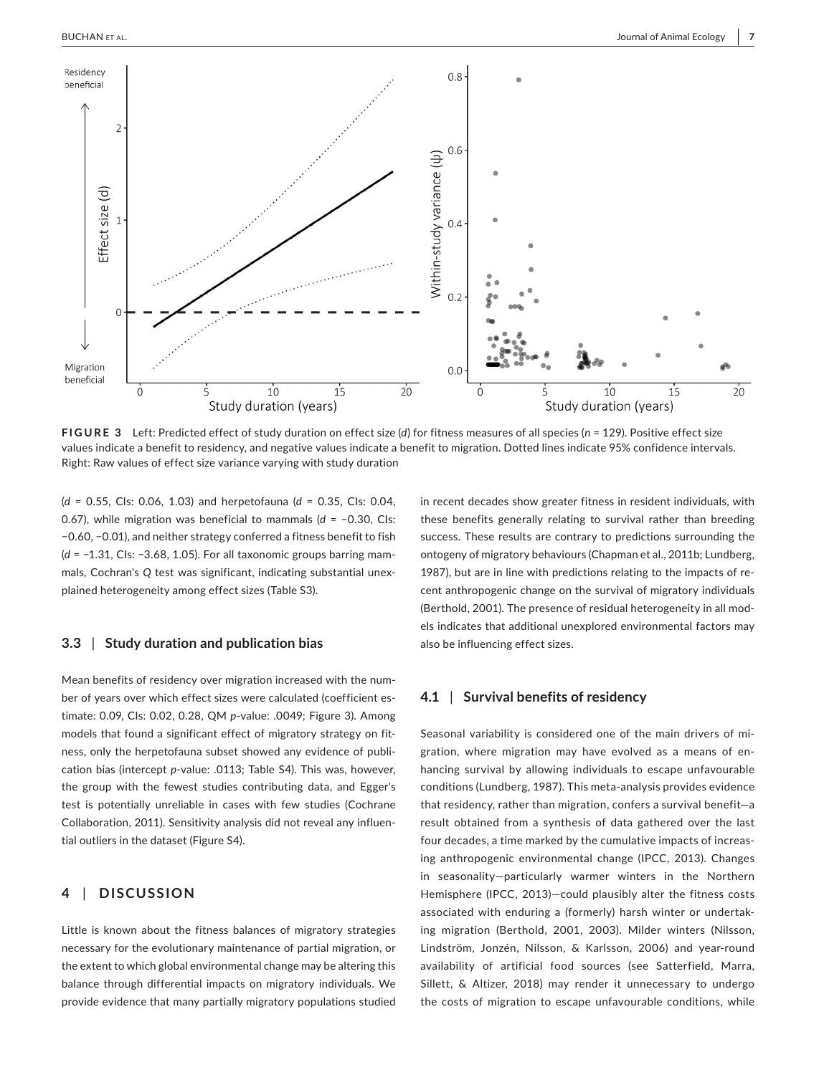

**FIGURE 3** Left: Predicted effect of study duration on effect size (*d*) for fitness measures of all species (*n* = 129). Positive effect size values indicate a benefit to residency, and negative values indicate a benefit to migration. Dotted lines indicate 95% confidence intervals. Right: Raw values of effect size variance varying with study duration

(*d* = 0.55, CIs: 0.06, 1.03) and herpetofauna (*d* = 0.35, CIs: 0.04, 0.67), while migration was beneficial to mammals (*d* = −0.30, CIs: −0.60, −0.01), and neither strategy conferred a fitness benefit to fish (*d* = −1.31, CIs: −3.68, 1.05). For all taxonomic groups barring mammals, Cochran's *Q* test was significant, indicating substantial unexplained heterogeneity among effect sizes (Table S3).

## **3.3** | **Study duration and publication bias**

Mean benefits of residency over migration increased with the number of years over which effect sizes were calculated (coefficient estimate: 0.09, CIs: 0.02, 0.28, QM *p*-value: .0049; Figure 3). Among models that found a significant effect of migratory strategy on fitness, only the herpetofauna subset showed any evidence of publication bias (intercept *p*-value: .0113; Table S4). This was, however, the group with the fewest studies contributing data, and Egger's test is potentially unreliable in cases with few studies (Cochrane Collaboration, 2011). Sensitivity analysis did not reveal any influential outliers in the dataset (Figure S4).

# **4** | **DISCUSSION**

Little is known about the fitness balances of migratory strategies necessary for the evolutionary maintenance of partial migration, or the extent to which global environmental change may be altering this balance through differential impacts on migratory individuals. We provide evidence that many partially migratory populations studied in recent decades show greater fitness in resident individuals, with these benefits generally relating to survival rather than breeding success. These results are contrary to predictions surrounding the ontogeny of migratory behaviours (Chapman et al., 2011b; Lundberg, 1987), but are in line with predictions relating to the impacts of recent anthropogenic change on the survival of migratory individuals (Berthold, 2001). The presence of residual heterogeneity in all models indicates that additional unexplored environmental factors may also be influencing effect sizes.

# **4.1** | **Survival benefits of residency**

Seasonal variability is considered one of the main drivers of migration, where migration may have evolved as a means of enhancing survival by allowing individuals to escape unfavourable conditions (Lundberg, 1987). This meta-analysis provides evidence that residency, rather than migration, confers a survival benefit—a result obtained from a synthesis of data gathered over the last four decades, a time marked by the cumulative impacts of increasing anthropogenic environmental change (IPCC, 2013). Changes in seasonality—particularly warmer winters in the Northern Hemisphere (IPCC, 2013)—could plausibly alter the fitness costs associated with enduring a (formerly) harsh winter or undertaking migration (Berthold, 2001, 2003). Milder winters (Nilsson, Lindström, Jonzén, Nilsson, & Karlsson, 2006) and year-round availability of artificial food sources (see Satterfield, Marra, Sillett, & Altizer, 2018) may render it unnecessary to undergo the costs of migration to escape unfavourable conditions, while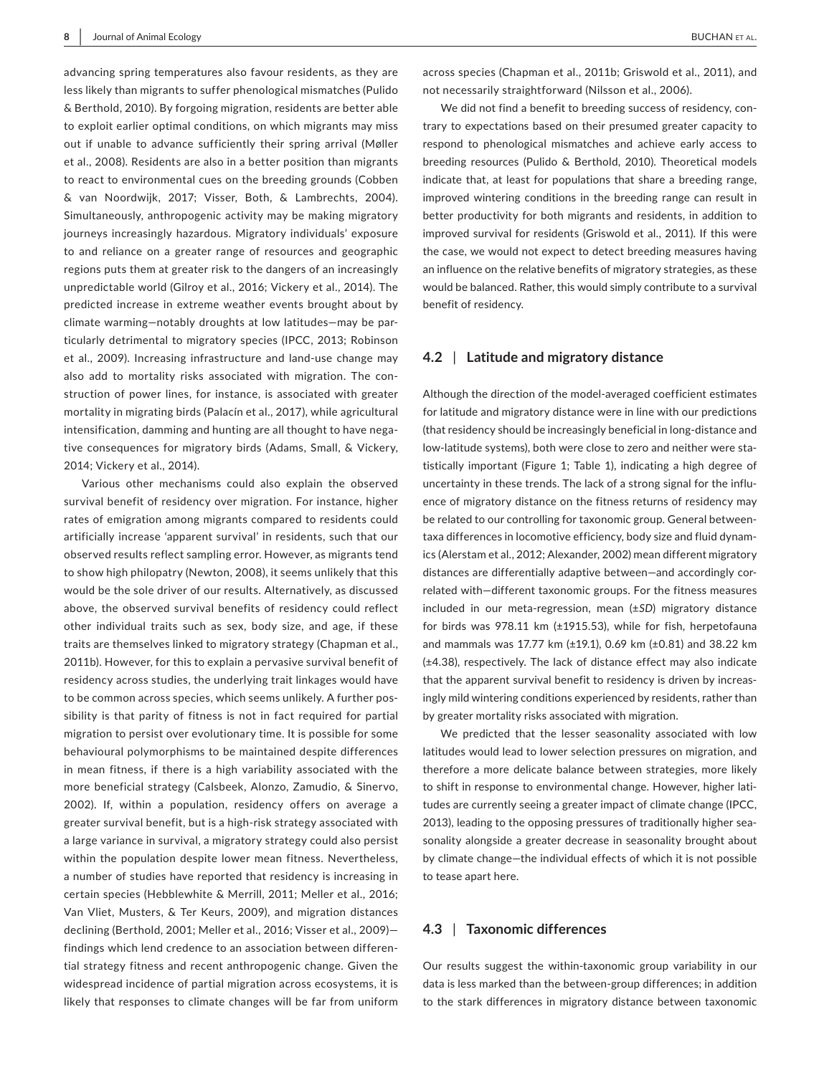advancing spring temperatures also favour residents, as they are less likely than migrants to suffer phenological mismatches (Pulido & Berthold, 2010). By forgoing migration, residents are better able to exploit earlier optimal conditions, on which migrants may miss out if unable to advance sufficiently their spring arrival (Møller et al., 2008). Residents are also in a better position than migrants to react to environmental cues on the breeding grounds (Cobben & van Noordwijk, 2017; Visser, Both, & Lambrechts, 2004). Simultaneously, anthropogenic activity may be making migratory journeys increasingly hazardous. Migratory individuals' exposure to and reliance on a greater range of resources and geographic regions puts them at greater risk to the dangers of an increasingly unpredictable world (Gilroy et al., 2016; Vickery et al., 2014). The predicted increase in extreme weather events brought about by climate warming—notably droughts at low latitudes—may be particularly detrimental to migratory species (IPCC, 2013; Robinson et al., 2009). Increasing infrastructure and land-use change may also add to mortality risks associated with migration. The construction of power lines, for instance, is associated with greater mortality in migrating birds (Palacín et al., 2017), while agricultural intensification, damming and hunting are all thought to have negative consequences for migratory birds (Adams, Small, & Vickery, 2014; Vickery et al., 2014).

Various other mechanisms could also explain the observed survival benefit of residency over migration. For instance, higher rates of emigration among migrants compared to residents could artificially increase 'apparent survival' in residents, such that our observed results reflect sampling error. However, as migrants tend to show high philopatry (Newton, 2008), it seems unlikely that this would be the sole driver of our results. Alternatively, as discussed above, the observed survival benefits of residency could reflect other individual traits such as sex, body size, and age, if these traits are themselves linked to migratory strategy (Chapman et al., 2011b). However, for this to explain a pervasive survival benefit of residency across studies, the underlying trait linkages would have to be common across species, which seems unlikely. A further possibility is that parity of fitness is not in fact required for partial migration to persist over evolutionary time. It is possible for some behavioural polymorphisms to be maintained despite differences in mean fitness, if there is a high variability associated with the more beneficial strategy (Calsbeek, Alonzo, Zamudio, & Sinervo, 2002). If, within a population, residency offers on average a greater survival benefit, but is a high-risk strategy associated with a large variance in survival, a migratory strategy could also persist within the population despite lower mean fitness. Nevertheless, a number of studies have reported that residency is increasing in certain species (Hebblewhite & Merrill, 2011; Meller et al., 2016; Van Vliet, Musters, & Ter Keurs, 2009), and migration distances declining (Berthold, 2001; Meller et al., 2016; Visser et al., 2009) findings which lend credence to an association between differential strategy fitness and recent anthropogenic change. Given the widespread incidence of partial migration across ecosystems, it is likely that responses to climate changes will be far from uniform

across species (Chapman et al., 2011b; Griswold et al., 2011), and not necessarily straightforward (Nilsson et al., 2006).

We did not find a benefit to breeding success of residency, contrary to expectations based on their presumed greater capacity to respond to phenological mismatches and achieve early access to breeding resources (Pulido & Berthold, 2010). Theoretical models indicate that, at least for populations that share a breeding range, improved wintering conditions in the breeding range can result in better productivity for both migrants and residents, in addition to improved survival for residents (Griswold et al., 2011). If this were the case, we would not expect to detect breeding measures having an influence on the relative benefits of migratory strategies, as these would be balanced. Rather, this would simply contribute to a survival benefit of residency.

## **4.2** | **Latitude and migratory distance**

Although the direction of the model-averaged coefficient estimates for latitude and migratory distance were in line with our predictions (that residency should be increasingly beneficial in long-distance and low-latitude systems), both were close to zero and neither were statistically important (Figure 1; Table 1), indicating a high degree of uncertainty in these trends. The lack of a strong signal for the influence of migratory distance on the fitness returns of residency may be related to our controlling for taxonomic group. General betweentaxa differences in locomotive efficiency, body size and fluid dynamics (Alerstam et al., 2012; Alexander, 2002) mean different migratory distances are differentially adaptive between—and accordingly correlated with—different taxonomic groups. For the fitness measures included in our meta-regression, mean (±*SD*) migratory distance for birds was 978.11 km (±1915.53), while for fish, herpetofauna and mammals was 17.77 km (±19.1), 0.69 km (±0.81) and 38.22 km (±4.38), respectively. The lack of distance effect may also indicate that the apparent survival benefit to residency is driven by increasingly mild wintering conditions experienced by residents, rather than by greater mortality risks associated with migration.

We predicted that the lesser seasonality associated with low latitudes would lead to lower selection pressures on migration, and therefore a more delicate balance between strategies, more likely to shift in response to environmental change. However, higher latitudes are currently seeing a greater impact of climate change (IPCC, 2013), leading to the opposing pressures of traditionally higher seasonality alongside a greater decrease in seasonality brought about by climate change—the individual effects of which it is not possible to tease apart here.

# **4.3** | **Taxonomic differences**

Our results suggest the within-taxonomic group variability in our data is less marked than the between-group differences; in addition to the stark differences in migratory distance between taxonomic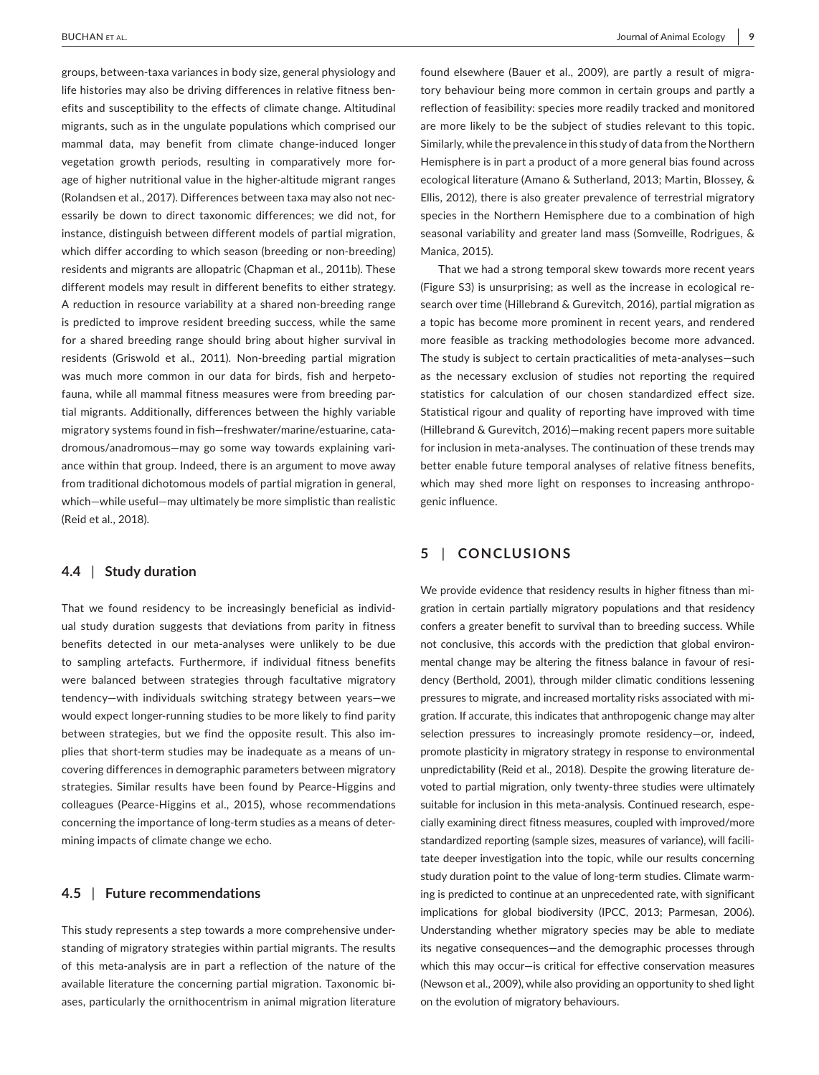groups, between-taxa variances in body size, general physiology and life histories may also be driving differences in relative fitness benefits and susceptibility to the effects of climate change. Altitudinal migrants, such as in the ungulate populations which comprised our mammal data, may benefit from climate change-induced longer vegetation growth periods, resulting in comparatively more forage of higher nutritional value in the higher-altitude migrant ranges (Rolandsen et al., 2017). Differences between taxa may also not necessarily be down to direct taxonomic differences; we did not, for instance, distinguish between different models of partial migration, which differ according to which season (breeding or non-breeding) residents and migrants are allopatric (Chapman et al., 2011b). These different models may result in different benefits to either strategy. A reduction in resource variability at a shared non-breeding range is predicted to improve resident breeding success, while the same for a shared breeding range should bring about higher survival in residents (Griswold et al., 2011). Non-breeding partial migration was much more common in our data for birds, fish and herpetofauna, while all mammal fitness measures were from breeding partial migrants. Additionally, differences between the highly variable migratory systems found in fish—freshwater/marine/estuarine, catadromous/anadromous—may go some way towards explaining variance within that group. Indeed, there is an argument to move away from traditional dichotomous models of partial migration in general, which—while useful—may ultimately be more simplistic than realistic (Reid et al., 2018).

## **4.4** | **Study duration**

That we found residency to be increasingly beneficial as individual study duration suggests that deviations from parity in fitness benefits detected in our meta-analyses were unlikely to be due to sampling artefacts. Furthermore, if individual fitness benefits were balanced between strategies through facultative migratory tendency—with individuals switching strategy between years—we would expect longer-running studies to be more likely to find parity between strategies, but we find the opposite result. This also implies that short-term studies may be inadequate as a means of uncovering differences in demographic parameters between migratory strategies. Similar results have been found by Pearce-Higgins and colleagues (Pearce-Higgins et al., 2015), whose recommendations concerning the importance of long-term studies as a means of determining impacts of climate change we echo.

# **4.5** | **Future recommendations**

This study represents a step towards a more comprehensive understanding of migratory strategies within partial migrants. The results of this meta-analysis are in part a reflection of the nature of the available literature the concerning partial migration. Taxonomic biases, particularly the ornithocentrism in animal migration literature found elsewhere (Bauer et al., 2009), are partly a result of migratory behaviour being more common in certain groups and partly a reflection of feasibility: species more readily tracked and monitored are more likely to be the subject of studies relevant to this topic. Similarly, while the prevalence in this study of data from the Northern Hemisphere is in part a product of a more general bias found across ecological literature (Amano & Sutherland, 2013; Martin, Blossey, & Ellis, 2012), there is also greater prevalence of terrestrial migratory species in the Northern Hemisphere due to a combination of high seasonal variability and greater land mass (Somveille, Rodrigues, & Manica, 2015).

That we had a strong temporal skew towards more recent years (Figure S3) is unsurprising; as well as the increase in ecological research over time (Hillebrand & Gurevitch, 2016), partial migration as a topic has become more prominent in recent years, and rendered more feasible as tracking methodologies become more advanced. The study is subject to certain practicalities of meta-analyses—such as the necessary exclusion of studies not reporting the required statistics for calculation of our chosen standardized effect size. Statistical rigour and quality of reporting have improved with time (Hillebrand & Gurevitch, 2016)—making recent papers more suitable for inclusion in meta-analyses. The continuation of these trends may better enable future temporal analyses of relative fitness benefits, which may shed more light on responses to increasing anthropogenic influence.

# **5** | **CONCLUSIONS**

We provide evidence that residency results in higher fitness than migration in certain partially migratory populations and that residency confers a greater benefit to survival than to breeding success. While not conclusive, this accords with the prediction that global environmental change may be altering the fitness balance in favour of residency (Berthold, 2001), through milder climatic conditions lessening pressures to migrate, and increased mortality risks associated with migration. If accurate, this indicates that anthropogenic change may alter selection pressures to increasingly promote residency—or, indeed, promote plasticity in migratory strategy in response to environmental unpredictability (Reid et al., 2018). Despite the growing literature devoted to partial migration, only twenty-three studies were ultimately suitable for inclusion in this meta-analysis. Continued research, especially examining direct fitness measures, coupled with improved/more standardized reporting (sample sizes, measures of variance), will facilitate deeper investigation into the topic, while our results concerning study duration point to the value of long-term studies. Climate warming is predicted to continue at an unprecedented rate, with significant implications for global biodiversity (IPCC, 2013; Parmesan, 2006). Understanding whether migratory species may be able to mediate its negative consequences—and the demographic processes through which this may occur—is critical for effective conservation measures (Newson et al., 2009), while also providing an opportunity to shed light on the evolution of migratory behaviours.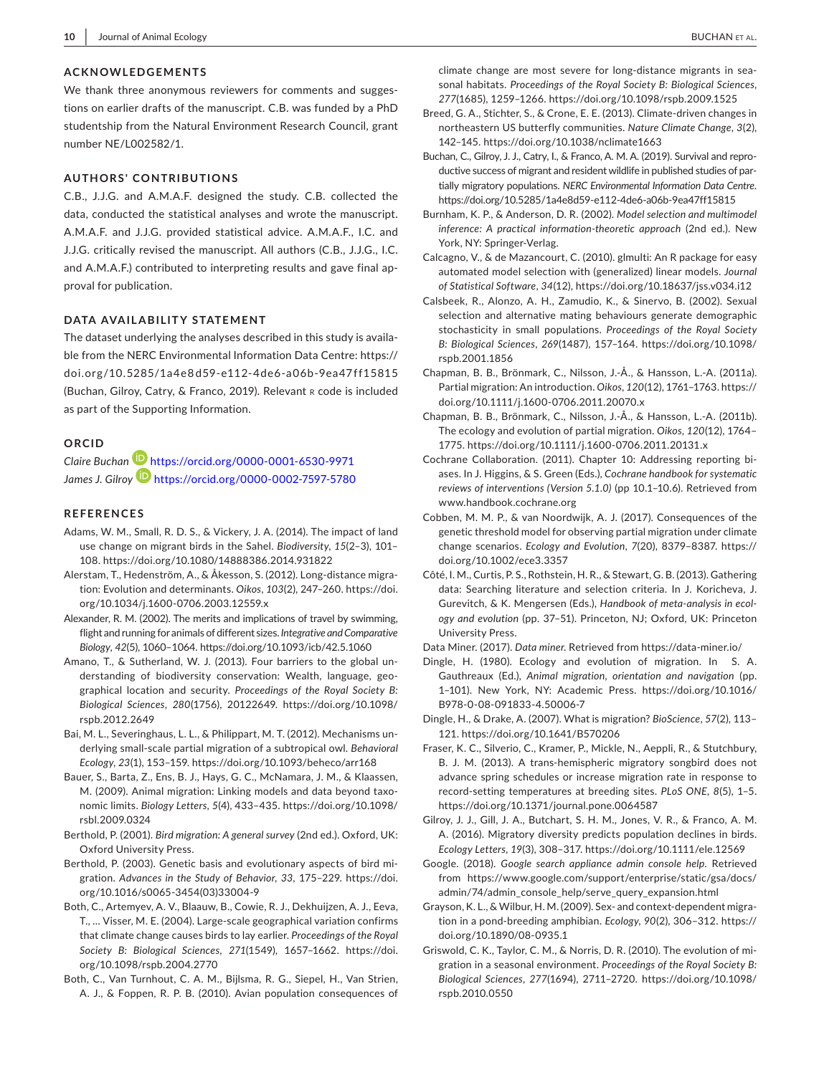#### **ACKNOWLEDGEMENTS**

We thank three anonymous reviewers for comments and suggestions on earlier drafts of the manuscript. C.B. was funded by a PhD studentship from the Natural Environment Research Council, grant number NE/L002582/1.

#### **AUTHORS' CONTRIBUTIONS**

C.B., J.J.G. and A.M.A.F. designed the study. C.B. collected the data, conducted the statistical analyses and wrote the manuscript. A.M.A.F. and J.J.G. provided statistical advice. A.M.A.F., I.C. and J.J.G. critically revised the manuscript. All authors (C.B., J.J.G., I.C. and A.M.A.F.) contributed to interpreting results and gave final approval for publication.

#### **DATA AVAILABILITY STATEMENT**

The dataset underlying the analyses described in this study is available from the NERC Environmental Information Data Centre: [https://](https://doi.org/10.5285/1a4e8d59-e112-4de6-a06b-9ea47ff15815) doi.org/10.5285/1a4e8 [d59-e112-4de6-a06b-9ea47ff15815](https://doi.org/10.5285/1a4e8d59-e112-4de6-a06b-9ea47ff15815) (Buchan, Gilroy, Catry, & Franco, 2019). Relevant R code is included as part of the Supporting Information.

#### **ORCID**

*Claire Buchan* <https://orcid.org/0000-0001-6530-9971> *James J. Gilroy* <https://orcid.org/0000-0002-7597-5780>

#### **REFERENCES**

- Adams, W. M., Small, R. D. S., & Vickery, J. A. (2014). The impact of land use change on migrant birds in the Sahel. *Biodiversity*, *15*(2–3), 101– 108.<https://doi.org/10.1080/14888386.2014.931822>
- Alerstam, T., Hedenström, A., & Åkesson, S. (2012). Long-distance migration: Evolution and determinants. *Oikos*, *103*(2), 247–260. [https://doi.](https://doi.org/10.1034/j.1600-0706.2003.12559.x) [org/10.1034/j.1600-0706.2003.12559.x](https://doi.org/10.1034/j.1600-0706.2003.12559.x)
- Alexander, R. M. (2002). The merits and implications of travel by swimming, flight and running for animals of different sizes. *Integrative and Comparative Biology*, *42*(5), 1060–1064. <https://doi.org/10.1093/icb/42.5.1060>
- Amano, T., & Sutherland, W. J. (2013). Four barriers to the global understanding of biodiversity conservation: Wealth, language, geographical location and security. *Proceedings of the Royal Society B: Biological Sciences*, *280*(1756), 20122649. [https://doi.org/10.1098/](https://doi.org/10.1098/rspb.2012.2649) [rspb.2012.2649](https://doi.org/10.1098/rspb.2012.2649)
- Bai, M. L., Severinghaus, L. L., & Philippart, M. T. (2012). Mechanisms underlying small-scale partial migration of a subtropical owl. *Behavioral Ecology*, *23*(1), 153–159. <https://doi.org/10.1093/beheco/arr168>
- Bauer, S., Barta, Z., Ens, B. J., Hays, G. C., McNamara, J. M., & Klaassen, M. (2009). Animal migration: Linking models and data beyond taxonomic limits. *Biology Letters*, *5*(4), 433–435. [https://doi.org/10.1098/](https://doi.org/10.1098/rsbl.2009.0324) [rsbl.2009.0324](https://doi.org/10.1098/rsbl.2009.0324)
- Berthold, P. (2001). *Bird migration: A general survey* (2nd ed.). Oxford, UK: Oxford University Press.
- Berthold, P. (2003). Genetic basis and evolutionary aspects of bird migration. *Advances in the Study of Behavior*, *33*, 175–229. [https://doi.](https://doi.org/10.1016/s0065-3454(03)33004-9) [org/10.1016/s0065-3454\(03\)33004-9](https://doi.org/10.1016/s0065-3454(03)33004-9)
- Both, C., Artemyev, A. V., Blaauw, B., Cowie, R. J., Dekhuijzen, A. J., Eeva, T., … Visser, M. E. (2004). Large-scale geographical variation confirms that climate change causes birds to lay earlier. *Proceedings of the Royal Society B: Biological Sciences*, *271*(1549), 1657–1662. [https://doi.](https://doi.org/10.1098/rspb.2004.2770) [org/10.1098/rspb.2004.2770](https://doi.org/10.1098/rspb.2004.2770)
- Both, C., Van Turnhout, C. A. M., Bijlsma, R. G., Siepel, H., Van Strien, A. J., & Foppen, R. P. B. (2010). Avian population consequences of

climate change are most severe for long-distance migrants in seasonal habitats. *Proceedings of the Royal Society B: Biological Sciences*, *277*(1685), 1259–1266.<https://doi.org/10.1098/rspb.2009.1525>

- Breed, G. A., Stichter, S., & Crone, E. E. (2013). Climate-driven changes in northeastern US butterfly communities. *Nature Climate Change*, *3*(2), 142–145. <https://doi.org/10.1038/nclimate1663>
- Buchan, C., Gilroy, J. J., Catry, I., & Franco, A. M. A. (2019). Survival and reproductive success of migrant and resident wildlife in published studies of partially migratory populations. *NERC Environmental Information Data Centre*. <https://doi.org/10.5285/1a4e8d59-e112-4de6-a06b-9ea47ff15815>
- Burnham, K. P., & Anderson, D. R. (2002). *Model selection and multimodel inference: A practical information-theoretic approach* (2nd ed.). New York, NY: Springer-Verlag.
- Calcagno, V., & de Mazancourt, C. (2010). glmulti: An R package for easy automated model selection with (generalized) linear models. *Journal of Statistical Software*, *34*(12), <https://doi.org/10.18637/jss.v034.i12>
- Calsbeek, R., Alonzo, A. H., Zamudio, K., & Sinervo, B. (2002). Sexual selection and alternative mating behaviours generate demographic stochasticity in small populations. *Proceedings of the Royal Society B: Biological Sciences*, *269*(1487), 157–164. [https://doi.org/10.1098/](https://doi.org/10.1098/rspb.2001.1856) [rspb.2001.1856](https://doi.org/10.1098/rspb.2001.1856)
- Chapman, B. B., Brönmark, C., Nilsson, J.-Å., & Hansson, L.-A. (2011a). Partial migration: An introduction. *Oikos*, *120*(12), 1761–1763. [https://](https://doi.org/10.1111/j.1600-0706.2011.20070.x) [doi.org/10.1111/j.1600-0706.2011.20070.x](https://doi.org/10.1111/j.1600-0706.2011.20070.x)
- Chapman, B. B., Brönmark, C., Nilsson, J.-Å., & Hansson, L.-A. (2011b). The ecology and evolution of partial migration. *Oikos*, *120*(12), 1764– 1775.<https://doi.org/10.1111/j.1600-0706.2011.20131.x>
- Cochrane Collaboration. (2011). Chapter 10: Addressing reporting biases. In J. Higgins, & S. Green (Eds.), *Cochrane handbook for systematic reviews of interventions (Version 5.1.0)* (pp 10.1–10.6). Retrieved from [www.handbook.cochrane.org](http://www.handbook.cochrane.org)
- Cobben, M. M. P., & van Noordwijk, A. J. (2017). Consequences of the genetic threshold model for observing partial migration under climate change scenarios. *Ecology and Evolution*, *7*(20), 8379–8387. [https://](https://doi.org/10.1002/ece3.3357) [doi.org/10.1002/ece3.3357](https://doi.org/10.1002/ece3.3357)
- Côté, I. M., Curtis, P. S., Rothstein, H. R., & Stewart, G. B. (2013). Gathering data: Searching literature and selection criteria. In J. Koricheva, J. Gurevitch, & K. Mengersen (Eds.), *Handbook of meta-analysis in ecology and evolution* (pp. 37–51). Princeton, NJ; Oxford, UK: Princeton University Press.

Data Miner. (2017). *Data miner*. Retrieved from<https://data-miner.io/>

- Dingle, H. (1980). Ecology and evolution of migration. In S. A. Gauthreaux (Ed.), *Animal migration, orientation and navigation* (pp. 1–101). New York, NY: Academic Press. [https://doi.org/10.1016/](https://doi.org/10.1016/B978-0-08-091833-4.50006-7) [B978-0-08-091833-4.50006-7](https://doi.org/10.1016/B978-0-08-091833-4.50006-7)
- Dingle, H., & Drake, A. (2007). What is migration? *BioScience*, *57*(2), 113– 121. <https://doi.org/10.1641/B570206>
- Fraser, K. C., Silverio, C., Kramer, P., Mickle, N., Aeppli, R., & Stutchbury, B. J. M. (2013). A trans-hemispheric migratory songbird does not advance spring schedules or increase migration rate in response to record-setting temperatures at breeding sites. *PLoS ONE*, *8*(5), 1–5. <https://doi.org/10.1371/journal.pone.0064587>
- Gilroy, J. J., Gill, J. A., Butchart, S. H. M., Jones, V. R., & Franco, A. M. A. (2016). Migratory diversity predicts population declines in birds. *Ecology Letters*, *19*(3), 308–317. <https://doi.org/10.1111/ele.12569>
- Google. (2018). *Google search appliance admin console help*. Retrieved from [https://www.google.com/support/enterprise/static/gsa/docs/](https://www.google.com/support/enterprise/static/gsa/docs/admin/74/admin_console_help/serve_query_expansion.html) [admin/74/admin\\_console\\_help/serve\\_query\\_expansion.html](https://www.google.com/support/enterprise/static/gsa/docs/admin/74/admin_console_help/serve_query_expansion.html)
- Grayson, K. L., & Wilbur, H. M. (2009). Sex- and context-dependent migration in a pond-breeding amphibian. *Ecology*, *90*(2), 306–312. [https://](https://doi.org/10.1890/08-0935.1) [doi.org/10.1890/08-0935.1](https://doi.org/10.1890/08-0935.1)
- Griswold, C. K., Taylor, C. M., & Norris, D. R. (2010). The evolution of migration in a seasonal environment. *Proceedings of the Royal Society B: Biological Sciences*, *277*(1694), 2711–2720. [https://doi.org/10.1098/](https://doi.org/10.1098/rspb.2010.0550) [rspb.2010.0550](https://doi.org/10.1098/rspb.2010.0550)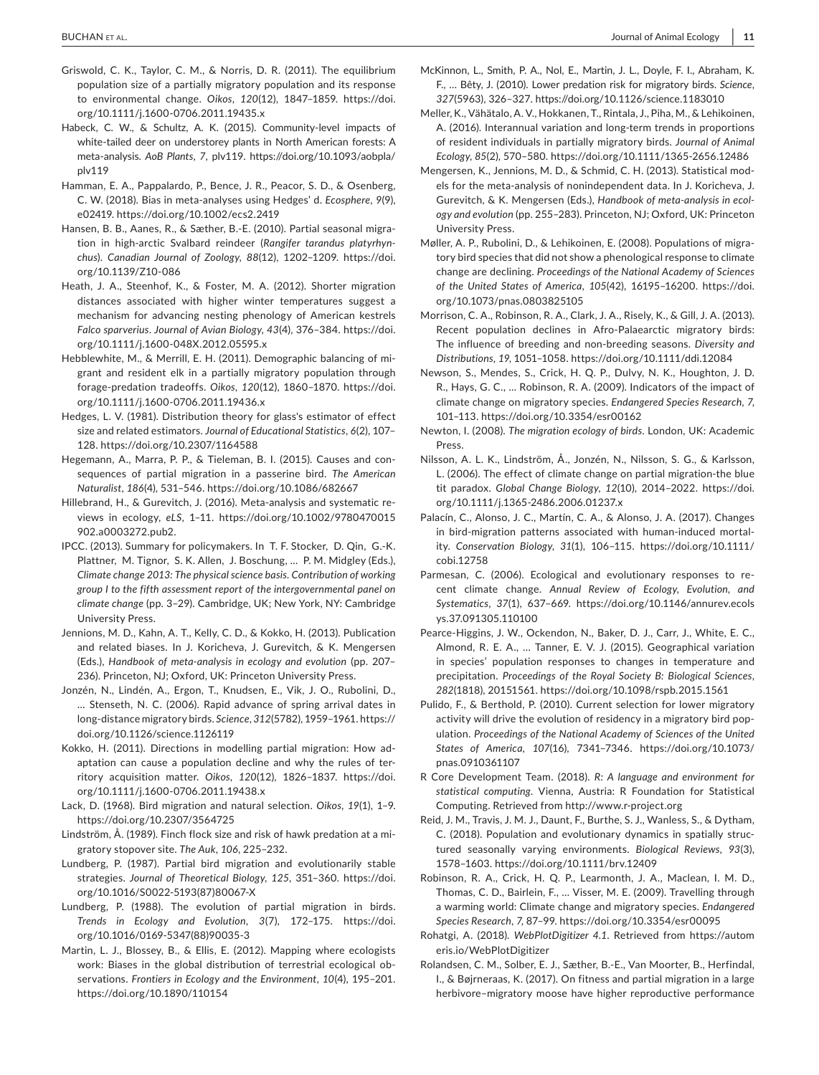- Griswold, C. K., Taylor, C. M., & Norris, D. R. (2011). The equilibrium population size of a partially migratory population and its response to environmental change. *Oikos*, *120*(12), 1847–1859. [https://doi.](https://doi.org/10.1111/j.1600-0706.2011.19435.x) [org/10.1111/j.1600-0706.2011.19435.x](https://doi.org/10.1111/j.1600-0706.2011.19435.x)
- Habeck, C. W., & Schultz, A. K. (2015). Community-level impacts of white-tailed deer on understorey plants in North American forests: A meta-analysis. *AoB Plants*, *7*, plv119. [https://doi.org/10.1093/aobpla/](https://doi.org/10.1093/aobpla/plv119) [plv119](https://doi.org/10.1093/aobpla/plv119)
- Hamman, E. A., Pappalardo, P., Bence, J. R., Peacor, S. D., & Osenberg, C. W. (2018). Bias in meta-analyses using Hedges' d. *Ecosphere*, *9*(9), e02419. <https://doi.org/10.1002/ecs2.2419>
- Hansen, B. B., Aanes, R., & Sæther, B.-E. (2010). Partial seasonal migration in high-arctic Svalbard reindeer (*Rangifer tarandus platyrhynchus*). *Canadian Journal of Zoology*, *88*(12), 1202–1209. [https://doi.](https://doi.org/10.1139/Z10-086) [org/10.1139/Z10-086](https://doi.org/10.1139/Z10-086)
- Heath, J. A., Steenhof, K., & Foster, M. A. (2012). Shorter migration distances associated with higher winter temperatures suggest a mechanism for advancing nesting phenology of American kestrels *Falco sparverius*. *Journal of Avian Biology*, *43*(4), 376–384. [https://doi.](https://doi.org/10.1111/j.1600-048X.2012.05595.x) [org/10.1111/j.1600-048X.2012.05595.x](https://doi.org/10.1111/j.1600-048X.2012.05595.x)
- Hebblewhite, M., & Merrill, E. H. (2011). Demographic balancing of migrant and resident elk in a partially migratory population through forage-predation tradeoffs. *Oikos*, *120*(12), 1860–1870. [https://doi.](https://doi.org/10.1111/j.1600-0706.2011.19436.x) [org/10.1111/j.1600-0706.2011.19436.x](https://doi.org/10.1111/j.1600-0706.2011.19436.x)
- Hedges, L. V. (1981). Distribution theory for glass's estimator of effect size and related estimators. *Journal of Educational Statistics*, *6*(2), 107– 128.<https://doi.org/10.2307/1164588>
- Hegemann, A., Marra, P. P., & Tieleman, B. I. (2015). Causes and consequences of partial migration in a passerine bird. *The American Naturalist*, *186*(4), 531–546. <https://doi.org/10.1086/682667>
- Hillebrand, H., & Gurevitch, J. (2016). Meta-analysis and systematic reviews in ecology, *eLS*, 1–11. [https://doi.org/10.1002/9780470015](https://doi.org/10.1002/9780470015902.a0003272.pub2) [902.a0003272.pub2](https://doi.org/10.1002/9780470015902.a0003272.pub2).
- IPCC. (2013). Summary for policymakers. In T. F. Stocker, D. Qin, G.-K. Plattner, M. Tignor, S. K. Allen, J. Boschung, … P. M. Midgley (Eds.), *Climate change 2013: The physical science basis. Contribution of working group I to the fifth assessment report of the intergovernmental panel on climate change* (pp. 3–29). Cambridge, UK; New York, NY: Cambridge University Press.
- Jennions, M. D., Kahn, A. T., Kelly, C. D., & Kokko, H. (2013). Publication and related biases. In J. Koricheva, J. Gurevitch, & K. Mengersen (Eds.), *Handbook of meta-analysis in ecology and evolution* (pp. 207– 236). Princeton, NJ; Oxford, UK: Princeton University Press.
- Jonzén, N., Lindén, A., Ergon, T., Knudsen, E., Vik, J. O., Rubolini, D., … Stenseth, N. C. (2006). Rapid advance of spring arrival dates in long-distance migratory birds. *Science*, *312*(5782), 1959–1961. [https://](https://doi.org/10.1126/science.1126119) [doi.org/10.1126/science.1126119](https://doi.org/10.1126/science.1126119)
- Kokko, H. (2011). Directions in modelling partial migration: How adaptation can cause a population decline and why the rules of territory acquisition matter. *Oikos*, *120*(12), 1826–1837. [https://doi.](https://doi.org/10.1111/j.1600-0706.2011.19438.x) [org/10.1111/j.1600-0706.2011.19438.x](https://doi.org/10.1111/j.1600-0706.2011.19438.x)
- Lack, D. (1968). Bird migration and natural selection. *Oikos*, *19*(1), 1–9. <https://doi.org/10.2307/3564725>
- Lindström, Å. (1989). Finch flock size and risk of hawk predation at a migratory stopover site. *The Auk*, *106*, 225–232.
- Lundberg, P. (1987). Partial bird migration and evolutionarily stable strategies. *Journal of Theoretical Biology*, *125*, 351–360. [https://doi.](https://doi.org/10.1016/S0022-5193(87)80067-X) [org/10.1016/S0022-5193\(87\)80067-X](https://doi.org/10.1016/S0022-5193(87)80067-X)
- Lundberg, P. (1988). The evolution of partial migration in birds. *Trends in Ecology and Evolution*, *3*(7), 172–175. [https://doi.](https://doi.org/10.1016/0169-5347(88)90035-3) [org/10.1016/0169-5347\(88\)90035-3](https://doi.org/10.1016/0169-5347(88)90035-3)
- Martin, L. J., Blossey, B., & Ellis, E. (2012). Mapping where ecologists work: Biases in the global distribution of terrestrial ecological observations. *Frontiers in Ecology and the Environment*, *10*(4), 195–201. <https://doi.org/10.1890/110154>
- McKinnon, L., Smith, P. A., Nol, E., Martin, J. L., Doyle, F. I., Abraham, K. F., … Bêty, J. (2010). Lower predation risk for migratory birds. *Science*, *327*(5963), 326–327. <https://doi.org/10.1126/science.1183010>
- Meller, K., Vähätalo, A. V., Hokkanen, T., Rintala, J., Piha, M., & Lehikoinen, A. (2016). Interannual variation and long-term trends in proportions of resident individuals in partially migratory birds. *Journal of Animal Ecology*, *85*(2), 570–580. <https://doi.org/10.1111/1365-2656.12486>
- Mengersen, K., Jennions, M. D., & Schmid, C. H. (2013). Statistical models for the meta-analysis of nonindependent data. In J. Koricheva, J. Gurevitch, & K. Mengersen (Eds.), *Handbook of meta-analysis in ecology and evolution* (pp. 255–283). Princeton, NJ; Oxford, UK: Princeton University Press.
- Møller, A. P., Rubolini, D., & Lehikoinen, E. (2008). Populations of migratory bird species that did not show a phenological response to climate change are declining. *Proceedings of the National Academy of Sciences of the United States of America*, *105*(42), 16195–16200. [https://doi.](https://doi.org/10.1073/pnas.0803825105) [org/10.1073/pnas.0803825105](https://doi.org/10.1073/pnas.0803825105)
- Morrison, C. A., Robinson, R. A., Clark, J. A., Risely, K., & Gill, J. A. (2013). Recent population declines in Afro-Palaearctic migratory birds: The influence of breeding and non-breeding seasons. *Diversity and Distributions*, *19*, 1051–1058.<https://doi.org/10.1111/ddi.12084>
- Newson, S., Mendes, S., Crick, H. Q. P., Dulvy, N. K., Houghton, J. D. R., Hays, G. C., … Robinson, R. A. (2009). Indicators of the impact of climate change on migratory species. *Endangered Species Research*, *7*, 101–113.<https://doi.org/10.3354/esr00162>
- Newton, I. (2008). *The migration ecology of birds*. London, UK: Academic Press.
- Nilsson, A. L. K., Lindström, Å., Jonzén, N., Nilsson, S. G., & Karlsson, L. (2006). The effect of climate change on partial migration-the blue tit paradox. *Global Change Biology*, *12*(10), 2014–2022. [https://doi.](https://doi.org/10.1111/j.1365-2486.2006.01237.x) [org/10.1111/j.1365-2486.2006.01237.x](https://doi.org/10.1111/j.1365-2486.2006.01237.x)
- Palacín, C., Alonso, J. C., Martín, C. A., & Alonso, J. A. (2017). Changes in bird-migration patterns associated with human-induced mortality. *Conservation Biology*, *31*(1), 106–115. [https://doi.org/10.1111/](https://doi.org/10.1111/cobi.12758) [cobi.12758](https://doi.org/10.1111/cobi.12758)
- Parmesan, C. (2006). Ecological and evolutionary responses to recent climate change. *Annual Review of Ecology, Evolution, and Systematics*, *37*(1), 637–669. [https://doi.org/10.1146/annurev.ecols](https://doi.org/10.1146/annurev.ecolsys.37.091305.110100) [ys.37.091305.110100](https://doi.org/10.1146/annurev.ecolsys.37.091305.110100)
- Pearce-Higgins, J. W., Ockendon, N., Baker, D. J., Carr, J., White, E. C., Almond, R. E. A., … Tanner, E. V. J. (2015). Geographical variation in species' population responses to changes in temperature and precipitation. *Proceedings of the Royal Society B: Biological Sciences*, *282*(1818), 20151561.<https://doi.org/10.1098/rspb.2015.1561>
- Pulido, F., & Berthold, P. (2010). Current selection for lower migratory activity will drive the evolution of residency in a migratory bird population. *Proceedings of the National Academy of Sciences of the United States of America*, *107*(16), 7341–7346. [https://doi.org/10.1073/](https://doi.org/10.1073/pnas.0910361107) [pnas.0910361107](https://doi.org/10.1073/pnas.0910361107)
- R Core Development Team. (2018). *R: A language and environment for statistical computing*. Vienna, Austria: R Foundation for Statistical Computing. Retrieved from<http://www.r-project.org>
- Reid, J. M., Travis, J. M. J., Daunt, F., Burthe, S. J., Wanless, S., & Dytham, C. (2018). Population and evolutionary dynamics in spatially structured seasonally varying environments. *Biological Reviews*, *93*(3), 1578–1603. <https://doi.org/10.1111/brv.12409>
- Robinson, R. A., Crick, H. Q. P., Learmonth, J. A., Maclean, I. M. D., Thomas, C. D., Bairlein, F., … Visser, M. E. (2009). Travelling through a warming world: Climate change and migratory species. *Endangered Species Research*, *7*, 87–99.<https://doi.org/10.3354/esr00095>
- Rohatgi, A. (2018). *WebPlotDigitizer 4.1*. Retrieved from [https://autom](https://automeris.io/WebPlotDigitizer) [eris.io/WebPlotDigitizer](https://automeris.io/WebPlotDigitizer)
- Rolandsen, C. M., Solber, E. J., Sæther, B.-E., Van Moorter, B., Herfindal, I., & Bøjrneraas, K. (2017). On fitness and partial migration in a large herbivore–migratory moose have higher reproductive performance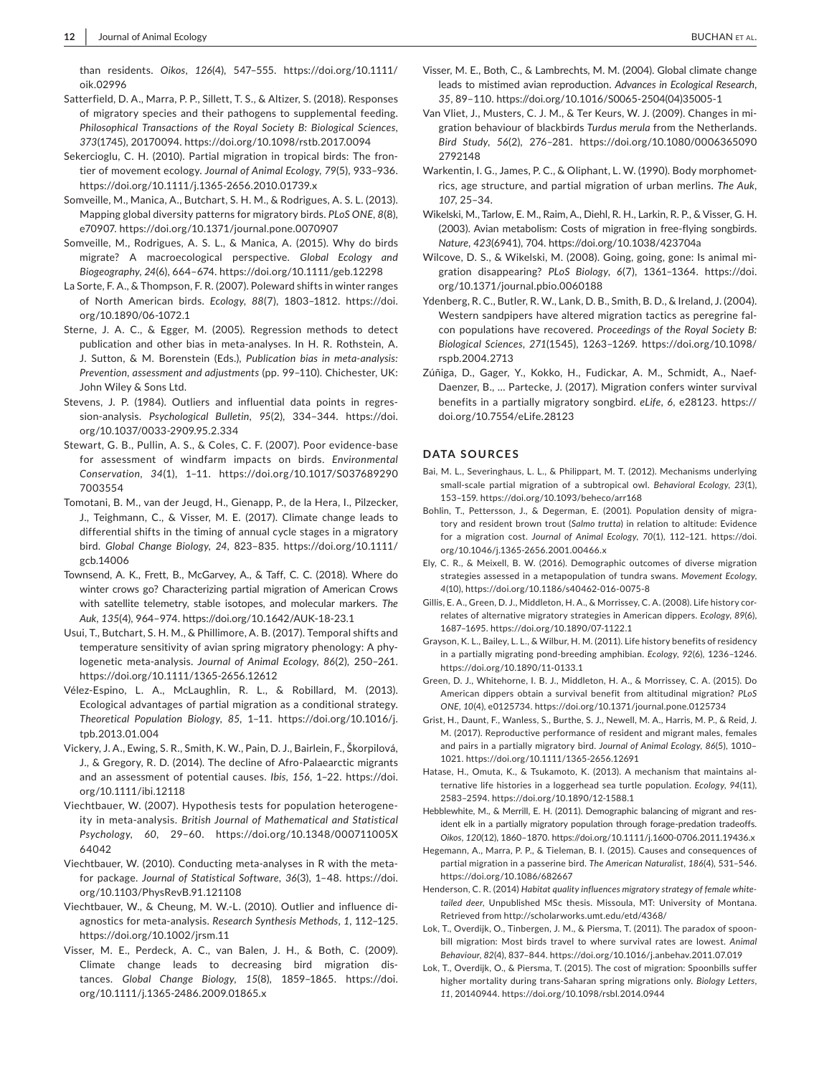than residents. *Oikos*, *126*(4), 547–555. [https://doi.org/10.1111/](https://doi.org/10.1111/oik.02996) [oik.02996](https://doi.org/10.1111/oik.02996)

- Satterfield, D. A., Marra, P. P., Sillett, T. S., & Altizer, S. (2018). Responses of migratory species and their pathogens to supplemental feeding. *Philosophical Transactions of the Royal Society B: Biological Sciences*, *373*(1745), 20170094.<https://doi.org/10.1098/rstb.2017.0094>
- Sekercioglu, C. H. (2010). Partial migration in tropical birds: The frontier of movement ecology. *Journal of Animal Ecology*, *79*(5), 933–936. <https://doi.org/10.1111/j.1365-2656.2010.01739.x>
- Somveille, M., Manica, A., Butchart, S. H. M., & Rodrigues, A. S. L. (2013). Mapping global diversity patterns for migratory birds. *PLoS ONE*, *8*(8), e70907. <https://doi.org/10.1371/journal.pone.0070907>
- Somveille, M., Rodrigues, A. S. L., & Manica, A. (2015). Why do birds migrate? A macroecological perspective. *Global Ecology and Biogeography*, *24*(6), 664–674. <https://doi.org/10.1111/geb.12298>
- La Sorte, F. A., & Thompson, F. R. (2007). Poleward shifts in winter ranges of North American birds. *Ecology*, *88*(7), 1803–1812. [https://doi.](https://doi.org/10.1890/06-1072.1) [org/10.1890/06-1072.1](https://doi.org/10.1890/06-1072.1)
- Sterne, J. A. C., & Egger, M. (2005). Regression methods to detect publication and other bias in meta-analyses. In H. R. Rothstein, A. J. Sutton, & M. Borenstein (Eds.), *Publication bias in meta-analysis: Prevention, assessment and adjustments* (pp. 99–110). Chichester, UK: John Wiley & Sons Ltd.
- Stevens, J. P. (1984). Outliers and influential data points in regression-analysis. *Psychological Bulletin*, *95*(2), 334–344. [https://doi.](https://doi.org/10.1037/0033-2909.95.2.334) [org/10.1037/0033-2909.95.2.334](https://doi.org/10.1037/0033-2909.95.2.334)
- Stewart, G. B., Pullin, A. S., & Coles, C. F. (2007). Poor evidence-base for assessment of windfarm impacts on birds. *Environmental Conservation*, *34*(1), 1–11. [https://doi.org/10.1017/S037689290](https://doi.org/10.1017/S0376892907003554) [7003554](https://doi.org/10.1017/S0376892907003554)
- Tomotani, B. M., van der Jeugd, H., Gienapp, P., de la Hera, I., Pilzecker, J., Teighmann, C., & Visser, M. E. (2017). Climate change leads to differential shifts in the timing of annual cycle stages in a migratory bird. *Global Change Biology*, *24*, 823–835. [https://doi.org/10.1111/](https://doi.org/10.1111/gcb.14006) [gcb.14006](https://doi.org/10.1111/gcb.14006)
- Townsend, A. K., Frett, B., McGarvey, A., & Taff, C. C. (2018). Where do winter crows go? Characterizing partial migration of American Crows with satellite telemetry, stable isotopes, and molecular markers. *The Auk*, *135*(4), 964–974. <https://doi.org/10.1642/AUK-18-23.1>
- Usui, T., Butchart, S. H. M., & Phillimore, A. B. (2017). Temporal shifts and temperature sensitivity of avian spring migratory phenology: A phylogenetic meta-analysis. *Journal of Animal Ecology*, *86*(2), 250–261. <https://doi.org/10.1111/1365-2656.12612>
- Vélez-Espino, L. A., McLaughlin, R. L., & Robillard, M. (2013). Ecological advantages of partial migration as a conditional strategy. *Theoretical Population Biology*, *85*, 1–11. [https://doi.org/10.1016/j.](https://doi.org/10.1016/j.tpb.2013.01.004) [tpb.2013.01.004](https://doi.org/10.1016/j.tpb.2013.01.004)
- Vickery, J. A., Ewing, S. R., Smith, K. W., Pain, D. J., Bairlein, F., Škorpilová, J., & Gregory, R. D. (2014). The decline of Afro-Palaearctic migrants and an assessment of potential causes. *Ibis*, *156*, 1–22. [https://doi.](https://doi.org/10.1111/ibi.12118) [org/10.1111/ibi.12118](https://doi.org/10.1111/ibi.12118)
- Viechtbauer, W. (2007). Hypothesis tests for population heterogeneity in meta-analysis. *British Journal of Mathematical and Statistical Psychology*, *60*, 29–60. [https://doi.org/10.1348/000711005X](https://doi.org/10.1348/000711005X64042) [64042](https://doi.org/10.1348/000711005X64042)
- Viechtbauer, W. (2010). Conducting meta-analyses in R with the metafor package. *Journal of Statistical Software*, *36*(3), 1–48. [https://doi.](https://doi.org/10.1103/PhysRevB.91.121108) [org/10.1103/PhysRevB.91.121108](https://doi.org/10.1103/PhysRevB.91.121108)
- Viechtbauer, W., & Cheung, M. W.-L. (2010). Outlier and influence diagnostics for meta-analysis. *Research Synthesis Methods*, *1*, 112–125. <https://doi.org/10.1002/jrsm.11>
- Visser, M. E., Perdeck, A. C., van Balen, J. H., & Both, C. (2009). Climate change leads to decreasing bird migration distances. *Global Change Biology*, *15*(8), 1859–1865. [https://doi.](https://doi.org/10.1111/j.1365-2486.2009.01865.x) [org/10.1111/j.1365-2486.2009.01865.x](https://doi.org/10.1111/j.1365-2486.2009.01865.x)
- Visser, M. E., Both, C., & Lambrechts, M. M. (2004). Global climate change leads to mistimed avian reproduction. *Advances in Ecological Research*, *35*, 89–110. [https://doi.org/10.1016/S0065-2504\(04\)35005-1](https://doi.org/10.1016/S0065-2504(04)35005-1)
- Van Vliet, J., Musters, C. J. M., & Ter Keurs, W. J. (2009). Changes in migration behaviour of blackbirds *Turdus merula* from the Netherlands. *Bird Study*, *56*(2), 276–281. [https://doi.org/10.1080/0006365090](https://doi.org/10.1080/00063650902792148) [2792148](https://doi.org/10.1080/00063650902792148)
- Warkentin, I. G., James, P. C., & Oliphant, L. W. (1990). Body morphometrics, age structure, and partial migration of urban merlins. *The Auk*, *107*, 25–34.
- Wikelski, M., Tarlow, E. M., Raim, A., Diehl, R. H., Larkin, R. P., & Visser, G. H. (2003). Avian metabolism: Costs of migration in free-flying songbirds. *Nature*, *423*(6941), 704.<https://doi.org/10.1038/423704a>
- Wilcove, D. S., & Wikelski, M. (2008). Going, going, gone: Is animal migration disappearing? *PLoS Biology*, *6*(7), 1361–1364. [https://doi.](https://doi.org/10.1371/journal.pbio.0060188) [org/10.1371/journal.pbio.0060188](https://doi.org/10.1371/journal.pbio.0060188)
- Ydenberg, R. C., Butler, R. W., Lank, D. B., Smith, B. D., & Ireland, J. (2004). Western sandpipers have altered migration tactics as peregrine falcon populations have recovered. *Proceedings of the Royal Society B: Biological Sciences*, *271*(1545), 1263–1269. [https://doi.org/10.1098/](https://doi.org/10.1098/rspb.2004.2713) [rspb.2004.2713](https://doi.org/10.1098/rspb.2004.2713)
- Zúñiga, D., Gager, Y., Kokko, H., Fudickar, A. M., Schmidt, A., Naef-Daenzer, B., … Partecke, J. (2017). Migration confers winter survival benefits in a partially migratory songbird. *eLife*, *6*, e28123. [https://](https://doi.org/10.7554/eLife.28123) [doi.org/10.7554/eLife.28123](https://doi.org/10.7554/eLife.28123)

## **DATA SOURCES**

- Bai, M. L., Severinghaus, L. L., & Philippart, M. T. (2012). Mechanisms underlying small-scale partial migration of a subtropical owl. *Behavioral Ecology*, *23*(1), 153–159.<https://doi.org/10.1093/beheco/arr168>
- Bohlin, T., Pettersson, J., & Degerman, E. (2001). Population density of migratory and resident brown trout (*Salmo trutta*) in relation to altitude: Evidence for a migration cost. *Journal of Animal Ecology*, *70*(1), 112–121. [https://doi.](https://doi.org/10.1046/j.1365-2656.2001.00466.x) [org/10.1046/j.1365-2656.2001.00466.x](https://doi.org/10.1046/j.1365-2656.2001.00466.x)
- Ely, C. R., & Meixell, B. W. (2016). Demographic outcomes of diverse migration strategies assessed in a metapopulation of tundra swans. *Movement Ecology*, *4*(10), <https://doi.org/10.1186/s40462-016-0075-8>
- Gillis, E. A., Green, D. J., Middleton, H. A., & Morrissey, C. A. (2008). Life history correlates of alternative migratory strategies in American dippers. *Ecology*, *89*(6), 1687–1695. <https://doi.org/10.1890/07-1122.1>
- Grayson, K. L., Bailey, L. L., & Wilbur, H. M. (2011). Life history benefits of residency in a partially migrating pond-breeding amphibian. *Ecology*, *92*(6), 1236–1246. <https://doi.org/10.1890/11-0133.1>
- Green, D. J., Whitehorne, I. B. J., Middleton, H. A., & Morrissey, C. A. (2015). Do American dippers obtain a survival benefit from altitudinal migration? *PLoS ONE*, *10*(4), e0125734.<https://doi.org/10.1371/journal.pone.0125734>
- Grist, H., Daunt, F., Wanless, S., Burthe, S. J., Newell, M. A., Harris, M. P., & Reid, J. M. (2017). Reproductive performance of resident and migrant males, females and pairs in a partially migratory bird. *Journal of Animal Ecology*, *86*(5), 1010– 1021. <https://doi.org/10.1111/1365-2656.12691>
- Hatase, H., Omuta, K., & Tsukamoto, K. (2013). A mechanism that maintains alternative life histories in a loggerhead sea turtle population. *Ecology*, *94*(11), 2583–2594. <https://doi.org/10.1890/12-1588.1>
- Hebblewhite, M., & Merrill, E. H. (2011). Demographic balancing of migrant and resident elk in a partially migratory population through forage-predation tradeoffs. *Oikos*, *120*(12), 1860–1870.<https://doi.org/10.1111/j.1600-0706.2011.19436.x>
- Hegemann, A., Marra, P. P., & Tieleman, B. I. (2015). Causes and consequences of partial migration in a passerine bird. *The American Naturalist*, *186*(4), 531–546. <https://doi.org/10.1086/682667>
- Henderson, C. R. (2014) *Habitat quality influences migratory strategy of female whitetailed deer*, Unpublished MSc thesis. Missoula, MT: University of Montana. Retrieved from<http://scholarworks.umt.edu/etd/4368/>
- Lok, T., Overdijk, O., Tinbergen, J. M., & Piersma, T. (2011). The paradox of spoonbill migration: Most birds travel to where survival rates are lowest. *Animal Behaviour*, *82*(4), 837–844. <https://doi.org/10.1016/j.anbehav.2011.07.019>
- Lok, T., Overdijk, O., & Piersma, T. (2015). The cost of migration: Spoonbills suffer higher mortality during trans-Saharan spring migrations only. *Biology Letters*, *11*, 20140944.<https://doi.org/10.1098/rsbl.2014.0944>